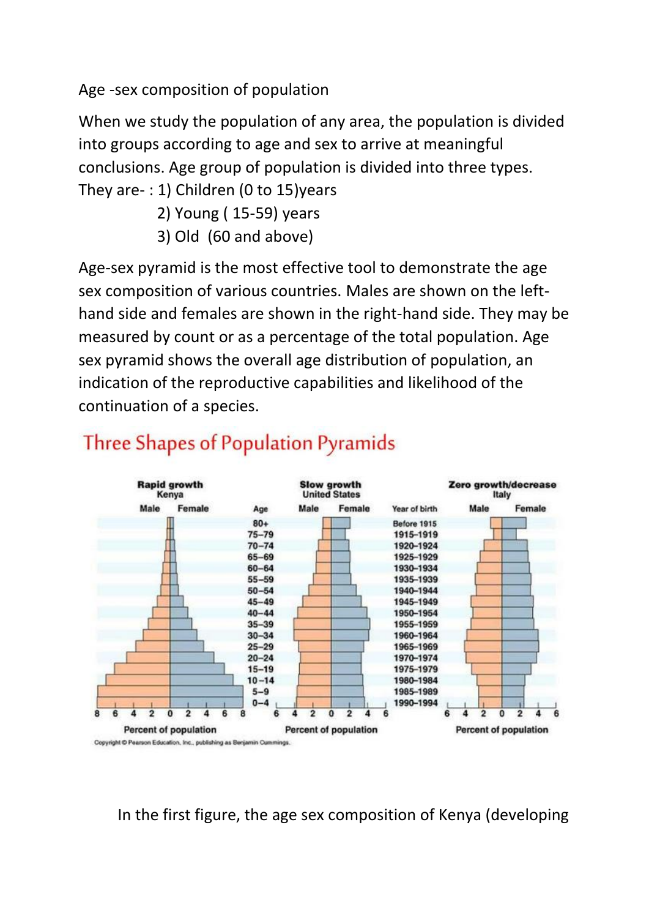Age -sex composition of population

When we study the population of any area, the population is divided into groups according to age and sex to arrive at meaningful conclusions. Age group of population is divided into three types. They are- : 1) Children (0 to 15)years

- 2) Young ( 15-59) years
- 3) Old (60 and above)

Age-sex pyramid is the most effective tool to demonstrate the age sex composition of various countries. Males are shown on the lefthand side and females are shown in the right-hand side. They may be measured by count or as a percentage of the total population. Age sex pyramid shows the overall age distribution of population, an indication of the reproductive capabilities and likelihood of the continuation of a species.



## **Three Shapes of Population Pyramids**

In the first figure, the age sex composition of Kenya (developing